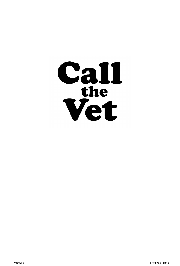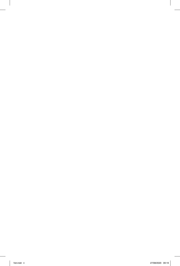$\overline{\phantom{a}}$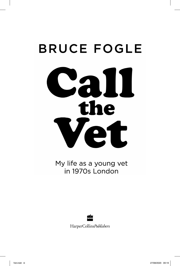

My life as a young vet in 1970s London



HarperCollinsPublishers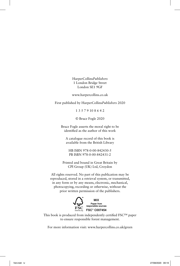HarperCollins*Publishers* 1 London Bridge Street London SE1 9GF

www.harpercollins.co.uk

First published by HarperCollins*Publishers* 2020

1 3 5 7 9 10 8 6 4 2

© Bruce Fogle 2020

Bruce Fogle asserts the moral right to be identified as the author of this work

A catalogue record of this book is available from the British Library

HB ISBN 978-0-00-842430-5 PB ISBN 978-0-00-842431-2

Printed and bound in Great Britain by CPI Group (UK) Ltd, Croydon

All rights reserved. No part of this publication may be reproduced, stored in a retrieval system, or transmitted, in any form or by any means, electronic, mechanical, photocopying, recording or otherwise, without the prior written permission of the publishers.



This book is produced from independently certified  $FSC^{TM}$  paper to ensure responsible forest management.

For more information visit: www.harpercollins.co.uk/green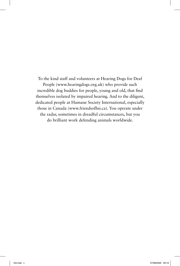To the kind staff and volunteers at Hearing Dogs for Deaf People (www.hearingdogs.org.uk) who provide such incredible dog buddies for people, young and old, that find themselves isolated by impaired hearing. And to the diligent, dedicated people at Humane Society International, especially those in Canada (www.friendsofhsi.ca). You operate under the radar, sometimes in dreadful circumstances, but you do brilliant work defending animals worldwide.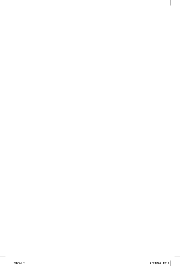$\overline{\phantom{a}}$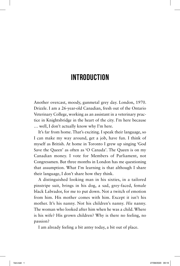### Introduction

Another overcast, moody, gunmetal grey day. London, 1970. Drizzle. I am a 26-year-old Canadian, fresh out of the Ontario Veterinary College, working as an assistant in a veterinary practice in Knightsbridge in the heart of the city. I'm here because … well, I don't actually know why I'm here.

It's far from home. That's exciting. I speak their language, so I can make my way around, get a job, have fun. I think of myself as British. At home in Toronto I grew up singing 'God Save the Queen' as often as 'O Canada'. The Queen is on my Canadian money. I vote for Members of Parliament, not Congressmen. But three months in London has me questioning that assumption. What I'm learning is that although I share their language, I don't share how they think.

A distinguished looking man in his sixties, in a tailored pinstripe suit, brings in his dog, a sad, grey-faced, female black Labrador, for me to put down. Not a twitch of emotion from him. His mother comes with him. Except it isn't his mother. It's his nanny. Not his children's nanny. *His* nanny. The woman who looked after him when he was a child. Where is his wife? His grown children? Why is there no feeling, no passion?

I am already feeling a bit antsy today, a bit out of place.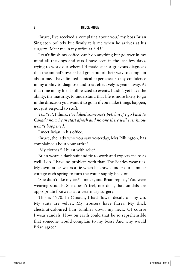'Bruce, I've received a complaint about you,' my boss Brian Singleton politely but firmly tells me when he arrives at his surgery. 'Meet me in my office at 8.45.'

I can't finish my coffee, can't do anything but go over in my mind all the dogs and cats I have seen in the last few days, trying to work out where I'd made such a grievous diagnosis that the animal's owner had gone out of their way to complain about me. I have limited clinical experience, so my confidence in my ability to diagnose and treat effectively is years away. At that time in my life, I still reacted to events. I didn't yet have the ability, the maturity, to understand that life is more likely to go in the direction you want it to go in if you make things happen, not just respond to stuff.

*That's it*, I think. *I've killed someone's pet, but if I go back to Canada now, I can start afresh and no one there will ever know what's happened.*

I meet Brian in his office.

'Bruce, the lady who you saw yesterday, Mrs Pilkington, has complained about your attire.'

'My clothes?' I burst with relief.

Brian wears a dark suit and tie to work and expects me to as well. I do. I have no problem with that. The Beatles wear ties. My own father wears a tie when he crawls under our summer cottage each spring to turn the water supply back on.

'She didn't like my tie?' I mock, and Brian replies, 'You were wearing sandals. She doesn't feel, nor do I, that sandals are appropriate footwear at a veterinary surgery.'

This is 1970. In Canada, I had flower decals on my car. My suits are velvet. My trousers have flares. My thick chestnut-coloured hair tumbles down my neck. Of course I wear sandals. How on earth could that be so reprehensible that someone would complain to my boss? And why would Brian agree?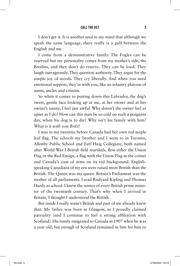I don't get it. It is another seed in my mind that although we speak the same language, there really is a gulf between the English and me.

I come from a demonstrative family. The Fogles can be reserved but my personality comes from my mother's side, the Breslins, and they don't do reserve. They can be loud. They laugh outrageously. They question authority. They argue for the simple joy of words. They cry liberally. And when you need emotional support, they're with you, like an infantry platoon of aunts, uncles and cousins.

So when it comes to putting down this Labrador, the dog's sweet, gentle face looking up at me, at her owner and at her owner's nanny, I feel just awful. Why doesn't the owner feel as upset as I do? How can this man be so cold on such a poignant day, when his dog is to die? Why isn't his family with him? *What is it with you Brits?*

I was in my twenties before Canada had her own red maple leaf flag. The schools my brother and I went to in Toronto, Allenby Public School and Earl Haig Collegiate, both named after World War I British field marshals, flew either the Union Flag or the Red Ensign, a flag with the Union Flag in the corner and Canada's coat of arms on its red background. Englishspeaking Canadians of my era were raised more British than the British. The Queen was my queen. Britain's Parliament was the mother of all parliaments. I read Rudyard Kipling and Thomas Hardy at school. I knew the names of every British prime minister of the twentieth century. That's why when I arrived in Britain, I thought I understood the British.

But inside I really wasn't British and part of me already knew that. My father was born in Glasgow, so I proudly claimed patriality (and I continue to feel a strong affiliation with Scotland). His family emigrated to Canada in 1907 when he was a year old, but enough of Scotland remained in him for him to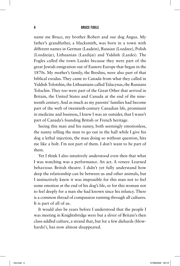name me Bruce, my brother Robert and our dog Angus. My father's grandfather, a blacksmith, was born in a town with different names in German (Lasdein), Russian (Lozdzee), Polish (Lozdzeije), Lithuanian (Lazdijai) and Yiddish (Lazdei). The Fogles called the town Lazdei because they were part of the great Jewish emigration out of Eastern Europe that began in the 1870s. My mother's family, the Breslins, were also part of that biblical exodus. They came to Canada from what they called in Yiddish Tolotshin, the Lithuanians called Talacynas, the Russians Tolochin. They too were part of the Great Other that arrived in Britain, the United States and Canada at the end of the nineteenth century. And as much as my parents' families had become part of the weft of twentieth-century Canadian life, prominent in medicine and business, I knew I was an outsider, that I wasn't part of Canada's founding British or French heritage.

Seeing this man and his nanny, both seemingly emotionless, the nanny telling the man to go out in the hall while I give his dog a lethal injection, the man doing so without question, hits me like a bolt. I'm not part of them. I don't want to be part of them.

Yet I think I also intuitively understood even then that what I was watching was a performance. An act. A veneer. Learned behaviour. British theatre. I didn't yet fully understand how deep the relationship can be between us and other animals, but I instinctively knew it was impossible for this man not to feel some emotion at the end of his dog's life, or for this woman not to feel deeply for a man she had known since his infancy. There is a common thread of compassion running through all cultures. It is part of all of us.

It would also be years before I understood that the people I was meeting in Knightsbridge were but a sliver of Britain's then class-addled culture, a strand that, but for a few diehards (blowhards?), has now almost disappeared.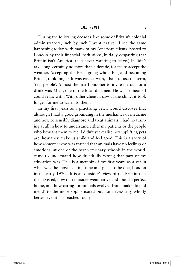During the following decades, like some of Britain's colonial administrators, inch by inch I went native. (I see the same happening today with many of my American clients, posted to London by their financial institutions, initially despairing that Britain isn't America, then never wanting to leave.) It didn't take long, certainly no more than a decade, for me to accept the weather. Accepting the Brits, going whole hog and becoming British, took longer. It was easiest with, I hate to use the term, 'real people'. Almost the first Londoner to invite me out for a drink was Mick, one of the local dustmen. He was someone I could relax with. With other clients I saw at the clinic, it took longer for me to warm to them.

In my first years as a practising vet, I would discover that although I had a good grounding in the mechanics of medicine and how to sensibly diagnose and treat animals, l had no training at all in how to understand either my patients or the people who brought them to me. I didn't yet realise how uplifting pets are, how they make us smile and feel good. This is a story of how someone who was trained that animals have no feelings or emotions, at one of the best veterinary schools in the world, came to understand how dreadfully wrong that part of my education was. This is a memoir of my first years as a vet in what was the most exciting time and place to be one, London in the early 1970s. It is an outsider's view of the Britain that then existed, how that outsider went native and found a perfect home, and how caring for animals evolved from 'make do and mend' to the more sophisticated but not necessarily wholly better level it has reached today.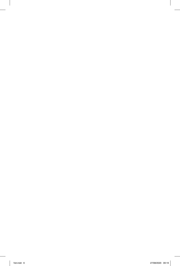$\overline{\phantom{a}}$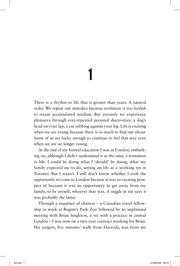# 1

There is a rhythm to life that is greater than years. A natural order. We repeat our mistakes because evolution is too foolish to retain accumulated wisdom. But joyously we experience pleasures through ever-repeated personal discoveries: a dog's head on your lap, a cat rubbing against your leg. Life is exciting when we are young because there is so much to find out about. Some of us are lucky enough to continue to feel that way even when we are no longer young.

At the end of my formal education I was in London, embarking on, although I didn't understand it at the time, a transition in life. I could be doing what I 'should' be doing, what my family expected me to do, setting up life as a working vet in Toronto. But I wasn't. I still don't know whether I took the opportunity to come to London because it was an exciting prospect or because it was an opportunity to get away from my family, to be myself, whoever that was. A niggle in me says it was probably the latter.

Through a sequence of chances – a Canadian travel fellowship to work at Regent's Park Zoo followed by an unplanned meeting with Brian Singleton, a vet with a practice in central London – I was now on a two-year contract working for Brian. His surgery, five minutes' walk from Harrods, was from my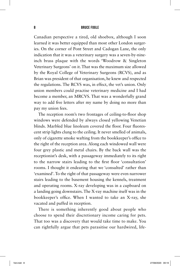Canadian perspective a tired, old shoebox, although I soon learned it was better equipped than most other London surgeries. On the corner of Pont Street and Cadogan Lane, the only indication that it was a veterinary surgery was a seven-by-nineinch brass plaque with the words 'Woodrow & Singleton Veterinary Surgeons' on it. That was the maximum size allowed by the Royal College of Veterinary Surgeons (RCVS), and as Brian was president of that organisation, he knew and respected the regulations. The RCVS was, in effect, the vet's union. Only union members could practise veterinary medicine and I had become a member, an MRCVS. That was a wonderfully grand way to add five letters after my name by doing no more than pay my union fees.

The reception room's two frontages of ceiling-to-floor shop windows were defended by always closed yellowing Venetian blinds. Marbled blue linoleum covered the floor. Four fluorescent strip lights clung to the ceiling. It never smelled of animals, only of cigarette smoke wafting from the bookkeeper's office to the right of the reception area. Along each windowed wall were four grey plastic and metal chairs. By the back wall was the receptionist's desk, with a passageway immediately to its right to the narrow stairs leading to the first floor 'consultation' rooms. I thought it endearing that we 'consulted' rather than 'examined'. To the right of that passageway were even narrower stairs leading to the basement housing the kennels, treatment and operating rooms. X-ray developing was in a cupboard on a landing going downstairs. The X-ray machine itself was in the bookkeeper's office. When I wanted to take an X-ray, she vacated and puffed in reception.

There is something inherently good about people who choose to spend their discretionary income caring for pets. That too was a discovery that would take time to make. You can rightfully argue that pets parasitise our hardwired, life-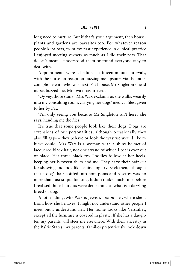long need to nurture. But if that's your argument, then houseplants and gardens are parasites too. For whatever reason people kept pets, from my first experience in clinical practice I enjoyed meeting owners as much as I did their pets. That doesn't mean I understood them or found everyone easy to deal with.

Appointments were scheduled at fifteen-minute intervals, with the nurse on reception buzzing me upstairs via the intercom phone with who was next. Pat House, Mr Singleton's head nurse, buzzed me. Mrs Wax has arrived.

'Oy vey, those stairs,' Mrs Wax exclaims as she walks wearily into my consulting room, carrying her dogs' medical files, given to her by Pat.

'I'm only seeing you because Mr Singleton isn't here,' she says, handing me the files.

It's true that some people look like their dogs. Dogs are extensions of our personalities, although occasionally they also fill gaps – they behave or look the way we would like to if we could. Mrs Wax is a woman with a shiny helmet of lacquered black hair, not one strand of which I bet is ever out of place. Her three black toy Poodles follow at her heels, keeping her between them and me. They have their hair cut for showing and look like canine topiary. Back then, I thought that a dog's hair coiffed into pom poms and rosettes was no more than just stupid looking. It didn't take much time before I realised those haircuts were demeaning to what is a dazzling breed of dog.

Another thing. Mrs Wax is Jewish. I *know* her, where she is from, how she behaves. I might not understand other people I meet but I understand her. Her home looks like Versailles, except all the furniture is covered in plastic. If she has a daughter, my parents will steer me elsewhere. With their ancestry in the Baltic States, my parents' families pretentiously look down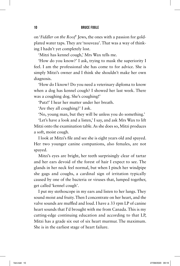on '*Fiddler on the Roof*' Jews, the ones with a passion for goldplated water taps. They are 'nouveau'. That was a way of thinking I hadn't yet completely lost.

'Mitzi has kennel cough,' Mrs Wax tells me.

'How do you know?' I ask, trying to mask the superiority I feel. I am the professional she has come to for advice. She is simply Mitzi's owner and I think she shouldn't make her own diagnosis.

'How do I know? Do you need a veterinary diploma to know when a dog has kennel cough? I showed her last week. There was a coughing dog. She's coughing!'

'Putz!' I hear her mutter under her breath.

'Are they all coughing?' I ask.

'No, young man, but they will be unless you do something.'

'Let's have a look and a listen,' I say, and ask Mrs Wax to lift Mitzi onto the examination table. As she does so, Mitzi produces a soft, moist cough.

I look at Mitzi's file and see she is eight years old and spayed. Her two younger canine companions, also females, are not spayed.

Mitzi's eyes are bright, her teeth surprisingly clear of tartar and her ears devoid of the forest of hair I expect to see. The glands in her neck feel normal, but when I pinch her windpipe she gags and coughs, a cardinal sign of irritation typically caused by one of the bacteria or viruses that, lumped together, get called 'kennel cough'.

I put my stethoscope in my ears and listen to her lungs. They sound moist and fruity. Then I concentrate on her heart, and the valve sounds are muffled and loud. I have a 33 rpm LP of canine heart sounds that I'd brought with me from Canada. This is my cutting-edge continuing education and according to that LP, Mitzi has a grade six out of six heart murmur. The maximum. She is in the earliest stage of heart failure.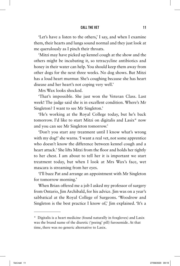'Let's have a listen to the others,' I say, and when I examine them, their hearts and lungs sound normal and they just look at me querulously as I pinch their throats.

'Mitzi may have picked up kennel cough at the show and the others might be incubating it, so tetracycline antibiotics and honey in their water can help. You should keep them away from other dogs for the next three weeks. No dog shows. But Mitzi has a loud heart murmur. She's coughing because she has heart disease and her heart's not coping very well.'

Mrs Wax looks shocked.

'That's impossible. She just won the Veteran Class. Last week! The judge said she is in excellent condition. Where's Mr Singleton? I want to see Mr Singleton.'

'He's working at the Royal College today, but he's back tomorrow. I'd like to start Mitzi on digitalis and Lasix\* now and you can see Mr Singleton tomorrow.'

'Don't you start any treatment until I know what's wrong with my dog!' she warns. 'I want a real vet, not some apprentice who doesn't know the difference between kennel cough and a heart attack.' She lifts Mitzi from the floor and holds her tightly to her chest. I am about to tell her it is important we start treatment today, but when I look at Mrs Wax's face, wet mascara is streaming from her eyes.

'I'll buzz Pat and arrange an appointment with Mr Singleton for tomorrow morning.'

When Brian offered me a job I asked my professor of surgery from Ontario, Jim Archibald, for his advice. Jim was on a year's sabbatical at the Royal College of Surgeons. 'Woodrow and Singleton is the best practice I know of,' Jim explained. 'It's a

<sup>\*</sup> Digitalis is a heart medicine (found naturally in foxgloves) and Lasix was the brand name of the diuretic ('peeing' pill) furosemide. At that time, there was no generic alternative to Lasix.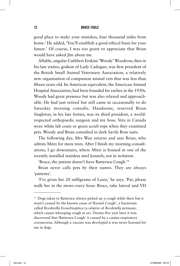good place to make your mistakes, four thousand miles from home.' He added, 'You'll establish a good ethical basis for your future.' Of course, I was too green to appreciate that Brian would have asked Jim about me.

Affable, angular Cuthbert Erskine 'Woody' Woodrow, then in his late sixties, godson of Lady Cadogan, was first president of the British Small Animal Veterinary Association, a relatively new organisation of companion animal vets that was less than fifteen years old. Its American equivalent, the American Animal Hospital Association, had been founded far earlier, in the 1930s. Woody had great presence but was also relaxed and approachable. He had just retired but still came in occasionally to do Saturday morning consults. Handsome, reserved Brian Singleton, in his late forties, was its third president, a worldrespected orthopaedic surgeon and my boss. Vets in Canada wore white lab coats or green scrub tops when they examined pets. Woody and Brian consulted in dark Savile Row suits.

The following day, Mrs Wax returns and sees Brian, who admits Mitzi for more tests. After I finish my morning consultations, I go downstairs, where Mitzi is housed in one of the recently installed stainless steel kennels, not in isolation.

'Bruce, the patient doesn't have Battersea Cough.'\*

Brian never calls pets by their names. They are always 'patients'.

'I've given her 20 milligrams of Lasix,' he says. 'Pat, please walk her in the mews every hour. Bruce, take lateral and VD

<sup>\*</sup> Dogs taken to Battersea always picked up a cough while there but it wasn't caused by the known cause of 'Kennel Cough', a bacterium called *Bordetella bronchiseptica* (a relative of *Bordetella pertussis*, which causes whooping cough in us). Twenty-five year later it was discovered that 'Battersea Cough' is caused by a canine respiratory coronavirus. Although a vaccine was developed it was never licensed for use in dogs.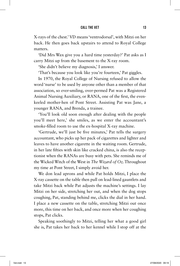X-rays of the chest.' VD means 'ventrodorsal', with Mitzi on her back. He then goes back upstairs to attend to Royal College matters.

'Did Mrs Wax give you a hard time yesterday?' Pat asks as I carry Mitzi up from the basement to the X-ray room.

'She didn't believe my diagnosis,' I answer.

'That's because you look like you're fourteen,' Pat giggles.

In 1970, the Royal College of Nursing refused to allow the word 'nurse' to be used by anyone other than a member of that association, so ever-smiling, over-permed Pat was a Registered Animal Nursing Auxiliary, or RANA, one of the first, the evenkeeled mother-hen of Pont Street. Assisting Pat was Jane, a younger RANA, and Brenda, a trainee.

'You'll look old soon enough after dealing with the people you'll meet here,' she smiles, as we enter the accountant's smoke-filled room to use the ex-hospital X-ray machine.

'Gertrude, we'll just be five minutes,' Pat tells the surgery accountant, who picks up her pack of cigarettes and lighter and leaves to have another cigarette in the waiting room. Gertrude, in her late fifties with skin like cracked china, is also the receptionist when the RANAs are busy with pets. She reminds me of the Wicked Witch of the West in *The Wizard of Oz*. Throughout my time at Pont Street, I simply avoid her.

We don lead aprons and while Pat holds Mitzi, I place the X-ray cassette on the table then pull on lead-lined gauntlets and take Mitzi back while Pat adjusts the machine's settings. I lay Mitzi on her side, stretching her out, and when the dog stops coughing, Pat, standing behind me, clicks the dial in her hand. I place a new cassette on the table, stretching Mitzi out once more, this time on her back, and once more when her coughing stops, Pat clicks.

Speaking soothingly to Mitzi, telling her what a good girl she is, Pat takes her back to her kennel while I stop off at the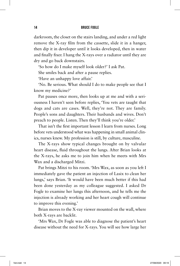darkroom, the closet on the stairs landing, and under a red light remove the X-ray film from the cassette, slide it in a hanger, then dip it in developer until it looks developed, then in water and finally fixer. I hang the X-rays over a radiator until they are dry and go back downstairs.

'So how do I make myself look older?' I ask Pat.

She smiles back and after a pause replies.

'Have an unhappy love affair.'

'No. Be serious. What should I do to make people see that I know my medicine?'

Pat pauses once more, then looks up at me and with a seriousness I haven't seen before replies, 'You vets are taught that dogs and cats are cases. Well, they're not. They are family. People's sons and daughters. Their husbands and wives. Don't preach to people. Listen. Then they'll think you're older.'

That isn't the first important lesson I learn from nurses. Long before vets understood what was happening in small animal clinics, nurses knew. My profession is still, by culture, masculine.

The X-rays show typical changes brought on by valvular heart disease, fluid throughout the lungs. After Brian looks at the X-rays, he asks me to join him when he meets with Mrs Wax and a discharged Mitzi.

Pat brings Mitzi to his room. 'Mrs Wax, as soon as you left I immediately gave the patient an injection of Lasix to clean her lungs,' says Brian. 'It would have been much better if this had been done yesterday as my colleague suggested. I asked Dr Fogle to examine her lungs this afternoon, and he tells me the injection is already working and her heart cough will continue to improve this evening.'

Brian moves to the X-ray viewer mounted on the wall, where both X-rays are backlit.

'Mrs Wax, Dr Fogle was able to diagnose the patient's heart disease without the need for X-rays. You will see how large her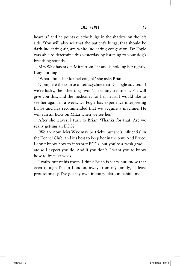heart is,' and he points out the bulge in the shadow on the left side. 'You will also see that the patient's lungs, that should be dark indicating air, are white indicating congestion. Dr Fogle was able to determine this yesterday by listening to your dog's breathing sounds.'

Mrs Wax has taken Mitzi from Pat and is holding her tightly. I say nothing.

'What about her kennel cough?' she asks Brian.

'Complete the course of tetracycline that Dr Fogle advised. If we're lucky, the other dogs won't need any treatment. Pat will give you this, and the medicines for her heart. I would like to see her again in a week. Dr Fogle has experience interpreting ECGs and has recommended that we acquire a machine. He will run an ECG on Mitzi when we see her.'

After she leaves, I turn to Brian. 'Thanks for that. Are we really getting an ECG?'

'We are now. Mrs Wax may be tricky but she's influential in the Kennel Club, and it's best to keep her in the tent. And Bruce, I don't know how to interpret ECGs, but you're a fresh graduate so I expect you do. And if you don't, I want you to know how to by next week.'

I waltz out of his room. I think Brian is scary but know that even though I'm in London, away from my family, at least professionally, I've got my own infantry platoon behind me.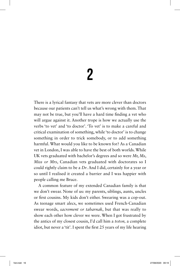2

There is a lyrical fantasy that vets are more clever than doctors because our patients can't tell us what's wrong with them. That may not be true, but you'll have a hard time finding a vet who will argue against it. Another trope is how we actually use the verbs 'to vet' and 'to doctor'. 'To vet' is to make a careful and critical examination of something, while 'to doctor' is to change something in order to trick somebody, or to add something harmful. What would you like to be known for? As a Canadian vet in London, I was able to have the best of both worlds. While UK vets graduated with bachelor's degrees and so were *M*r, *Ms*, *Miss or Mrs*, Canadian vets graduated with doctorates so I could rightly claim to be a *Dr*. And I did, certainly for a year or so until I realised it created a barrier and I was happier with people calling me Bruce.

A common feature of my extended Canadian family is that we don't swear. None of us: my parents, siblings, aunts, uncles or first cousins. My kids don't either. Swearing was a cop-out. As teenage smart alecs, we sometimes used French-Canadian swear words, *sacrement or tabarnak*, but that was really to show each other how clever we were. When I got frustrated by the antics of my closest cousin, I'd call him a *toton,* a complete idiot, but never a 'tit'. I spent the first 25 years of my life hearing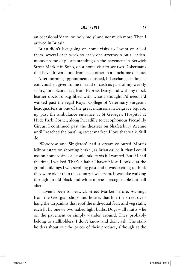an occasional 'darn' or 'holy moly' and not much more. Then I arrived in Britain.

Brian didn't like going on home visits so I went on all of them, several each week so early one afternoon on a leaden, monochrome day I am standing on the pavement in Berwick Street Market in Soho, on a home visit to see two Dobermans that have drawn blood from each other in a lunchtime dispute.

After morning appointments finished, I'd exchanged a luncheon voucher, given to me instead of cash as part of my weekly salary, for a Scotch egg from Express Dairy, and with my mock leather doctor's bag filled with what I thought I'd need, I'd walked past the regal Royal College of Veterinary Surgeons headquarters in one of the great mansions in Belgrave Square, up past the ambulance entrance at St George's Hospital at Hyde Park Corner, along Piccadilly to cacophonous Piccadilly Circus. I continued past the theatres on Shafetsbury Avenue until I reached the bustling street market. I love that walk. Still do.

'Woodrow and Singleton' had a cream-coloured Morris Minor estate or 'shooting brake', as Brian called it, that I could use on home visits, or I could take taxis if I wanted. But if I had the time, I walked. That's a habit I haven't lost. I looked at the grand buildings I was strolling past and it was exciting to think they were older than the country I was from. It was like walking through an old black and white movie – recognisable but still alien.

I haven't been to Berwick Street Market before. Awnings from the Georgian shops and houses that line the street overhang the tarpaulins that roof the individual fruit and veg stalls, each lit by one or two naked light bulbs. Dogs – all mutts – lie on the pavement or simply wander around. They probably belong to stallholders. I don't know and don't ask. The stallholders shout out the prices of their produce, although at the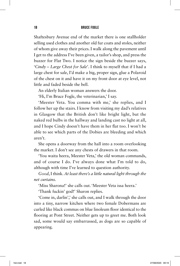Shaftesbury Avenue end of the market there is one stallholder selling used clothes and another old fur coats and stoles, neither of whom give away their prices. I walk along the pavement until I get to the address I've been given, a tailor's shop, and press the buzzer for Flat Two. I notice the sign beside the buzzer says, '*Cindy – Large Chest for Sale*'. I think to myself that if I had a large chest for sale, I'd make a big, proper sign, glue a Polaroid of the chest on it and have it on my front door at eye level, not little and faded beside the bell.

An elderly Italian woman answers the door.

'Hi, I'm Bruce Fogle, the veterinarian,' I say.

'Meester Veta. You comma with me,' she replies, and I follow her up the stairs. I know from visiting my dad's relatives in Glasgow that the British don't like bright light, but the naked red bulbs in the hallway and landing cast no light at all, and I hope Cindy doesn't have them in her flat too. I won't be able to see which parts of the Dobies are bleeding and which aren't.

She opens a doorway from the hall into a room overlooking the market. I don't see any chests of drawers in that room.

'You waita heera, Meester Veta,' the old woman commands, and of course I do. I've always done what I'm told to do, although with time I've learned to question authority.

*Good*, I think. *At least there's a little natural light through the net curtains.*

'Miss Sharona!' she calls out. 'Meester Veta issa heera.'

'Thank fuckin' god!' Sharon replies.

'Come in, darlin',' she calls out, and I walk through the door into a tiny, narrow kitchen where two female Dobermans are curled like black commas on blue linoleum floor identical to the flooring at Pont Street. Neither gets up to greet me. Both look sad, some would say embarrassed, as dogs are so capable of appearing.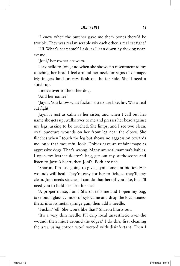'I knew when the butcher gave me them bones there'd be trouble. They was real miserable wiv each other, a real cat fight.'

'Hi. What's her name?' I ask, as I lean down by the dog nearest me.

'Joni,' her owner answers.

I say hello to Joni, and when she shows no resentment to my touching her head I feel around her neck for signs of damage. My fingers land on raw flesh on the far side. She'll need a stitch-up.

I move over to the other dog.

'And her name?'

'Jayni. You know what fuckin' sisters are like, luv. Was a real cat fight.'

Jayni is just as calm as her sister, and when I call out her name she gets up, walks over to me and presses her head against my legs, asking to be touched. She limps, and I see two clean, oval puncture wounds on her front leg near the elbow. She flinches when I touch the leg but shows no aggression towards me, only that mournful look. Dobies have an unfair image as aggressive dogs. That's wrong. Many are real mamma's babies. I open my leather doctor's bag, get out my stethoscope and listen to Jayni's heart, then Joni's. Both are fine.

'Sharon, I'm just going to give Jayni some antibiotics. Her wounds will heal. They're easy for her to lick, so they'll stay clean. Joni needs stitches. I can do that here if you like, but I'll need you to hold her firm for me.'

'A proper nurse, I am,' Sharon tells me and I open my bag, take out a glass cylinder of xylocaine and drop the local anaesthetic into its metal syringe gun, then add a needle.

'Fuckin' 'ell! She won't like that!' Sharon blurts out.

'It's a very thin needle. I'll drip local anaesthetic over the wound, then inject around the edges.' I do this, first cleaning the area using cotton wool wetted with disinfectant. Then I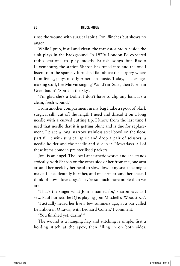rinse the wound with surgical spirit. Joni flinches but shows no anger.

While I prep, instil and clean, the transistor radio beside the sink plays in the background. In 1970s London I'd expected radio stations to play mostly British songs but Radio Luxembourg, the station Sharon has tuned into and the one I listen to in the sparsely furnished flat above the surgery where I am living, plays mostly American music. Today, it is cringemaking stuff, Lee Marvin singing 'Wand'rin' Star', then Norman Greenbaum's 'Spirit in the Sky'.

'I'm glad she's a Dobie. I don't have to clip any hair. It's a clean, fresh wound.'

From another compartment in my bag I take a spool of black surgical silk, cut off the length I need and thread it on a long needle with a curved cutting tip. I know from the last time I used that needle that it is getting blunt and is due for replacement. I place a long, narrow stainless steel bowl on the floor, part fill it with surgical spirit and drop a pair of scissors, a needle holder and the needle and silk in it. Nowadays, all of these items come in pre-sterilised packets.

Joni is an angel. The local anaesthetic works and she stands stoically, with Sharon on the other side of her from me, one arm around her neck by her head to slow down any snap she might make if I accidentally hurt her, and one arm around her chest. I think of how I love dogs. They're so much more noble than we are.

'That's the singer what Joni is named for,' Sharon says as I sew. Paul Burnett the DJ is playing Joni Mitchell's 'Woodstock'.

'I actually heard her live a few summers ago, at a bar called Le Hibou in Ottawa, with Leonard Cohen,' I comment.

'You finished yet, darlin'?'

The wound is a hanging flap and stitching is simple, first a holding stitch at the apex, then filling in on both sides.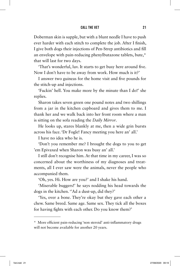Doberman skin is supple, but with a blunt needle I have to push ever harder with each stitch to complete the job. After I finish, I give both dogs their injections of Pen-Strep antibiotics and fill an envelope with pain-reducing phenylbutazone tablets, bute,\* that will last for two days.

'That's wonderful, luv. It starts to get busy here around five. Now I don't have to be away from work. How much is it?'

I answer two guineas for the home visit and five pounds for the stitch-up and injections.

'Fuckin' hell. You make more by the minute than I do!' she replies.

Sharon takes seven green one pound notes and two shillings from a jar in the kitchen cupboard and gives them to me. I thank her and we walk back into her front room where a man is sitting on the sofa reading the *Daily Mirror*.

He looks up, stares blankly at me, then a wide grin bursts across his face. 'Dr Fogle! Fancy meeting you here an' all.'

I have no idea who he is.

'Don't you remember me? I brought the dogs to you to get 'em Epivaxed when Sharon was busy an' all.'

I still don't recognise him. At that time in my career, I was so concerned about the worthiness of my diagnoses and treatments, all I ever saw were the animals, never the people who accompanied them.

'Oh, yes. Hi. How are you?' and I shake his hand.

'Miserable buggers!' he says nodding his head towards the dogs in the kitchen. "Ad a dust-up, did they?"

'Yes, over a bone. They're okay but they gave each other a chew. Same breed. Same age. Same sex. They tick all the boxes for having fights with each other. Do you know them?'

<sup>\*</sup> More efficient pain-reducing 'non steroid' anti-inflammatory drugs will not become available for another 20 years.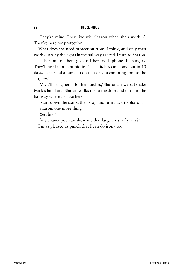'They're mine. They live wiv Sharon when she's workin'. They're here for protection.'

What does she need protection from, I think, and only then work out why the lights in the hallway are red. I turn to Sharon. 'If either one of them goes off her food, phone the surgery. They'll need more antibiotics. The stitches can come out in 10 days. I can send a nurse to do that or you can bring Joni to the surgery.'

'Mick'll bring her in for her stitches,' Sharon answers. I shake Mick's hand and Sharon walks me to the door and out into the hallway where I shake hers.

I start down the stairs, then stop and turn back to Sharon. 'Sharon, one more thing.'

'Yes, luv?'

'Any chance you can show me that large chest of yours?' I'm as pleased as punch that I can do irony too.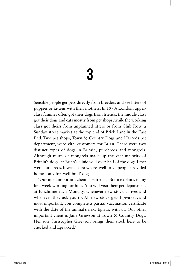# 3

Sensible people get pets directly from breeders and see litters of puppies or kittens with their mothers. In 1970s London, upperclass families often got their dogs from friends, the middle class got their dogs and cats mostly from pet shops, while the working class got theirs from unplanned litters or from Club Row, a Sunday street market at the top end of Brick Lane in the East End. Two pet shops, Town & Country Dogs and Harrods pet department, were vital customers for Brian. There were two distinct types of dogs in Britain, purebreds and mongrels. Although mutts or mongrels made up the vast majority of Britain's dogs, at Brian's clinic well over half of the dogs I met were purebreds. It was an era where 'well-bred' people provided homes only for 'well-bred' dogs.

'Our most important client is Harrods,' Brian explains in my first week working for him. 'You will visit their pet department at lunchtime each Monday, whenever new stock arrives and whenever they ask you to. All new stock gets Epivaxed, and most important, you complete a partial vaccination certificate with the date of the animal's next Epivax with us. Our other important client is Jane Grievson at Town & Country Dogs. Her son Christopher Grievson brings their stock here to be checked and Epivaxed.'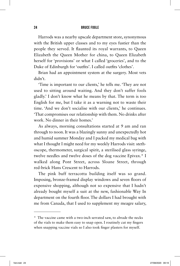Harrods was a nearby upscale department store, synonymous with the British upper classes and to my eyes fustier than the people they served. It flaunted its royal warrants, to Queen Elizabeth the Queen Mother for china, to Queen Elizabeth herself for 'provisions' or what I called 'groceries', and to the Duke of Edinburgh for 'outfits'. I called outfits 'clothes'.

Brian had an appointment system at the surgery. Most vets didn't.

'Time is important to our clients,' he tells me. 'They are not used to sitting around waiting. And they don't suffer fools gladly.' I don't know what he means by that. The term is too English for me, but I take it as a warning not to waste their time. 'And we don't socialise with our clients,' he continues. 'That compromises our relationship with them. No drinks after work. No dinner in their homes.'

As always, morning consultations started at 9 am and ran through to noon. It was a blazingly sunny and unexpectedly hot and humid summer Monday and I packed my medical bag with what I thought I might need for my weekly Harrods visit: stethoscope, thermometer, surgical spirit, a sterilised glass syringe, twelve needles and twelve doses of the dog vaccine Epivax.\* I walked along Pont Street, across Sloane Street, through red-brick Hans Crescent to Harrods.

The pink buff terracotta building itself was so grand. Imposing, bronze-framed display windows and seven floors of expensive shopping, although not so expensive that I hadn't already bought myself a suit at the new, fashionable Way In department on the fourth floor. The dollars I had brought with me from Canada, that I used to supplement my meagre salary,

<sup>\*</sup> The vaccine came with a two-inch serrated saw, to abrade the necks of the vials to make them easy to snap open. I routinely cut my fingers when snapping vaccine vials so I also took finger plasters for myself.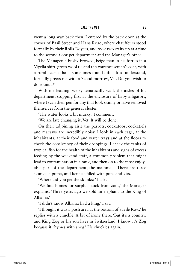went a long way back then. I entered by the back door, at the corner of Basil Street and Hans Road, where chauffeurs stood formally by their Rolls-Royces, and took two stairs up at a time to the second-floor pet department and the Manager's office.

The Manager, a bushy-browed, beige man in his forties in a Viyella shirt, green wool tie and tan warehouseman's coat, with a rural accent that I sometimes found difficult to understand, formally greets me with a 'Good morrow, Vet. Do you wish to do rounds?'

With me leading, we systematically walk the aisles of his department, stopping first at the enclosure of baby alligators, where I scan their pen for any that look skinny or have removed themselves from the general cluster.

'The water looks a bit murky,' I comment.

'We are late changing it, Vet. It will be done.'

On their adjoining aisle the parrots, cockatoos, cockatiels and macaws are incredibly noisy. I look in each cage, at the inhabitants, at their food and water trays and at the floors to check the consistency of their droppings. I check the tanks of tropical fish for the health of the inhabitants and signs of excess feeding by the weekend staff, a common problem that might lead to contamination in a tank, and then on to the most enjoyable part of the department, the mammals. There are three skunks, a puma, and kennels filled with pups and kits.

'Where did you get the skunks?' I ask.

'We find homes for surplus stock from zoos,' the Manager explains. 'Three years ago we sold an elephant to the King of Albania.'

'I didn't know Albania had a king,' I say.

'I thought it was a posh area at the bottom of Savile Row,' he replies with a chuckle. A bit of irony there. 'But it's a country, and King Zog or his son lives in Switzerland. I know it's Zog because it rhymes with snog.' He chuckles again.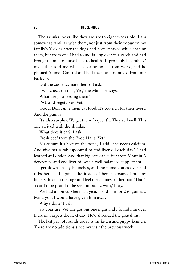The skunks looks like they are six to eight weeks old. I am somewhat familiar with them, not just from their odour on my family's Yorkies after the dogs had been sprayed while chasing them, but from one I had found falling over in a creek and had brought home to nurse back to health. 'It probably has rabies,' my father told me when he came home from work, and he phoned Animal Control and had the skunk removed from our backyard.

'Did the zoo vaccinate them?' I ask.

'I will check on that, Vet,' the Manager says.

'What are you feeding them?'

'PAL and vegetables, Vet.'

'Good. Don't give them cat food. It's too rich for their livers. And the puma?'

'It's also surplus. We get them frequently. They sell well. This one arrived with the skunks.'

'What does it eat?' I ask.

'Fresh beef from the Food Halls, Vet.'

'Make sure it's beef on the bone,' I add. 'She needs calcium. And give her a tablespoonful of cod liver oil each day.' I had learned at London Zoo that big cats can suffer from Vitamin A deficiency, and cod liver oil was a well-balanced supplement.

I get down on my haunches, and the puma comes over and rubs her head against the inside of her enclosure. I put my fingers through the cage and feel the silkiness of her hair. That's a cat I'd be proud to be seen in public with,' I say.

'We had a lion cub here last year. I sold him for 250 guineas. Mind you, I would have given him away.'

'Why's that?' I ask.

'Sly creature, Vet. He got out one night and I found him over there in Carpets the next day. He'd shredded the goatskins.'

The last part of rounds today is the kitten and puppy kennels. There are no additions since my visit the previous week.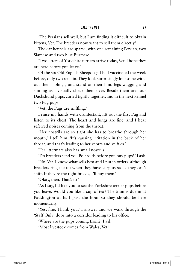'The Persians sell well, but I am finding it difficult to obtain kittens, Vet. The breeders now want to sell them directly.'

The cat kennels are sparse, with one remaining Persian, two Siamese and two blue Burmese.

'Two litters of Yorkshire terriers arrive today, Vet. I hope they are here before you leave.'

Of the six Old English Sheepdogs I had vaccinated the week before, only two remain. They look surprisingly lonesome without their siblings, and stand on their hind legs wagging and smiling as I visually check them over. Beside them are four Dachshund pups, curled tightly together, and in the next kennel two Pug pups.

'Vet, the Pugs are sniffling.'

I rinse my hands with disinfectant, lift out the first Pug and listen to its chest. The heart and lungs are fine, and I hear referred noises coming from the throat.

'Her nostrils are so tight she has to breathe through her mouth,' I tell him. 'It's causing irritation in the back of her throat, and that's leading to her snorts and sniffles.'

Her littermate also has small nostrils.

'Do breeders send you Polaroids before you buy pups?' I ask.

'No, Vet. I know what sells best and I put in orders, although breeders ring me up when they have surplus stock they can't shift. If they're the right breeds, I'll buy them.'

'Okay, then. That's it?'

'As I say, I'd like you to see the Yorkshire terrier pups before you leave. Would you like a cup of tea? The train is due in at Paddington at half past the hour so they should be here momentarily.'

'Yes, fine. Thank you,' I answer and we walk through the 'Staff Only' door into a corridor leading to his office.

'Where are the pups coming from?' I ask.

'Most livestock comes from Wales, Vet.'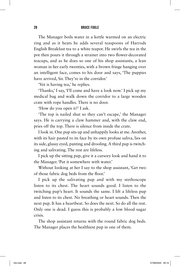The Manager boils water in a kettle warmed on an electric ring and as it heats he adds several teaspoons of Harrods English Breakfast tea to a white teapot. He swirls the tea in the pot then pours it through a strainer into two flower-decorated teacups, and as he does so one of his shop assistants, a lean woman in her early twenties, with a brown fringe hanging over an intelligent face, comes to his door and says, 'The puppies have arrived, Sir. They're in the corridor.'

'Vet is having tea,' he replies.

'Thanks,' I say, 'I'll come and have a look now.' I pick up my medical bag and walk down the corridor to a large wooden crate with rope handles. There is no door.

'How do you open it?' I ask.

'The top is nailed shut so they can't escape,' the Manager says. He is carrying a claw hammer and, with the claw end, pries off the top. There is silence from inside the crate.

I look in. One pup sits up and unhappily looks at me. Another, with its hair pasted to its face by its own profuse saliva, lies on its side, glassy eyed, panting and drooling. A third pup is twitching and salivating. The rest are lifeless.

I pick up the sitting pup, give it a cursory look and hand it to the Manager. 'Put it somewhere with water.'

Without looking at her I say to the shop assistant, 'Get two of those fabric dog beds from the floor.'

I pick up the salivating pup and with my stethoscope listen to its chest. The heart sounds good. I listen to the twitching pup's heart. It sounds the same. I lift a lifeless pup and listen to its chest. No breathing or heart sounds. Then the next pup. It has a heartbeat. So does the next. So do all the rest. Only one is dead. I guess this is probably a low blood sugar crisis.

The shop assistant returns with the round fabric dog beds. The Manager places the healthiest pup in one of them.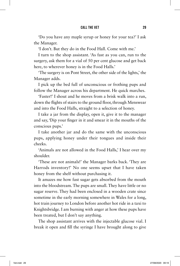'Do you have any maple syrup or honey for your tea?' I ask the Manager.

'I don't. But they do in the Food Hall. Come with me.'

I turn to the shop assistant. 'As fast as you can, run to the surgery, ask them for a vial of 50 per cent glucose and get back here, to wherever honey is in the Food Halls.'

'The surgery is on Pont Street, the other side of the lights,' the Manager adds.

I pick up the bed full of unconscious or frothing pups and follow the Manager across his department. He quick marches.

'Faster!' I shout and he moves from a brisk walk into a run, down the flights of stairs to the ground floor, through Menswear and into the Food Halls, straight to a selection of honey.

I take a jar from the display, open it, give it to the manager and say, 'Dip your finger in it and smear it in the mouths of the conscious pups.'

I take another jar and do the same with the unconscious pups, applying honey under their tongues and inside their cheeks.

'Animals are not allowed in the Food Halls,' I hear over my shoulder.

'These are not animals!' the Manager barks back. 'They are Harrods inventory!' No one seems upset that I have taken honey from the shelf without purchasing it.

It amazes me how fast sugar gets absorbed from the mouth into the bloodstream. The pups are small. They have little or no sugar reserve. They had been enclosed in a wooden crate since sometime in the early morning somewhere in Wales for a long, hot train journey to London before another hot ride in a taxi to Knightsbridge. I am burning with anger at how these pups have been treated, but I don't say anything.

The shop assistant arrives with the injectable glucose vial. I break it open and fill the syringe I have brought along to give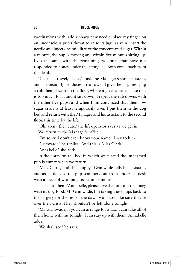vaccinations with, add a sharp new needle, place my finger on an unconscious pup's throat to raise its jugular vein, insert the needle and inject one millilitre of the concentrated sugar. Within a minute, the pup is moving and within five minutes sitting up. I do the same with the remaining two pups that have not responded to honey under their tongues. Both come back from the dead.

'Get me a towel, please,' I ask the Manager's shop assistant, and she instantly produces a tea towel. I give the brightest pup a rub then place it on the floor, where it gives a little shake that is too much for it and it sits down. I repeat the rub downs with the other five pups, and when I am convinced that their low sugar crisis is at least temporarily over, I put them in the dog bed and return with the Manager and his assistant to the second floor, this time by the lift.

'Oh, aren't they cute,' the lift operator says as we get in.

We return to the Manager's office.

'I'm sorry, I don't even know your name,' I say to him.

'Grimwade,' he replies. 'And this is Miss Clark.'

'Annabelle,' she adds.

In the corridor, the bed in which we placed the unharmed pup is empty when we return.

'Miss Clark, find that puppy,' Grimwade tells his assistant, and as he does so the pup scampers out from under his desk with a piece of wrapping tissue in its mouth.

I speak to them. 'Annabelle, please give that one a little honey with its dog food. Mr Grimwade, I'm taking these pups back to the surgery for the rest of the day. I want to make sure they're over their crisis. They shouldn't be left alone tonight.'

'Mr Grimwade, if you can arrange for a taxi I can take all of them home with me tonight. I can stay up with them,' Annabelle adds.

'We shall see,' he says.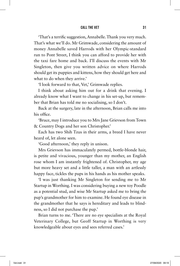'That's a terrific suggestion, Annabelle. Thank you very much. That's what we'll do. Mr Grimwade, considering the amount of money Annabelle saved Harrods with her Olympic-standard run to Pont Street, I think you can afford to provide her with the taxi fare home and back. I'll discuss the events with Mr Singleton, then give you written advice on where Harrods should get its puppies and kittens, how they should get here and what to do when they arrive.'

'I look forward to that, Vet,' Grimwade replies.

I think about asking him out for a drink that evening. I already know what I want to change in his set-up, but remember that Brian has told me no socialising, so I don't.

Back at the surgery, late in the afternoon, Brian calls me into his office.

'Bruce, may I introduce you to Mrs Jane Grievson from Town & Country Dogs and her son Christopher.'

Each has two Shih Tzus in their arms, a breed I have never heard of, let alone seen.

'Good afternoon,' they reply in unison.

Mrs Grievson has immaculately permed, bottle-blonde hair, is petite and vivacious, younger than my mother, an English rose whom I am instantly frightened of. Christopher, my age but more heavy set and a little taller, a man with an artlessly happy face, tickles the pups in his hands as his mother speaks.

'I was just thanking Mr Singleton for sending me to Mr Startup in Worthing. I was considering buying a new toy Poodle as a potential stud, and wise Mr Startup asked me to bring the pup's grandmother for him to examine. He found eye disease in the grandmother that he says is hereditary and leads to blindness, so I did not purchase the pup.'

Brian turns to me. 'There are no eye specialists at the Royal Veterinary College, but Geoff Startup in Worthing is very knowledgeable about eyes and sees referred cases.'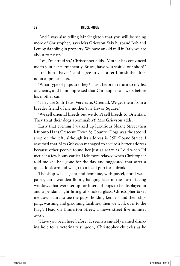'And I was also telling Mr Singleton that you will be seeing more of Christopher,' says Mrs Grievson. 'My husband Bob and I enjoy dabbling in property. We have an old mill in Italy we are about to fix up.'

'Yes, I'm afraid so,' Christopher adds. 'Mother has convinced me to join her permanently. Bruce, have you visited our shop?'

I tell him I haven't and agree to visit after I finish the afternoon appointments.

'What type of pups are they?' I ask before I return to my list of clients, and I am impressed that Christopher answers before his mother can.

'They are Shih Tzus. Very rare. Oriental. We get them from a breeder friend of my mother's in Trevor Square.'

'We sell oriental breeds but we don't sell breeds to Orientals. They treat their dogs abominably!' Mrs Grievson adds.

Early that evening I walked up luxurious Sloane Street then left onto Hans Crescent. Town & Country Dogs was the second shop on the left, although its address is 35B Sloane Street. I assumed that Mrs Grievson managed to secure a better address because other people found her just as scary as I did when I'd met her a few hours earlier. I felt more relaxed when Christopher told me she had gone for the day and suggested that after a quick look around we go to a local pub for a drink.

The shop was elegant and feminine, with pastel, floral wallpaper, dark wooden floors, hanging lace in the north-facing windows that were set up for litters of pups to be displayed in and a pendant light fitting of smoked glass. Christopher takes me downstairs to see the pups' holding kennels and their clipping, washing and grooming facilities, then we walk over to the Nag's Head on Kinnerton Street, a mews street five minutes away.

'Have you been here before? It seems a suitably named drinking hole for a veterinary surgeon,' Christopher chuckles as he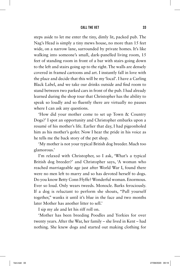steps aside to let me enter the tiny, dimly lit, packed pub. The Nag's Head is simply a tiny mews house, no more than 15 feet wide, on a narrow lane, surrounded by private homes. It's like walking into someone's small, dark-panelled living room, 15 feet of standing room in front of a bar with stairs going down to the left and stairs going up to the right. The walls are densely covered in framed cartoons and art. I instantly fall in love with the place and decide that this will be my 'local'. I have a Carling Black Label, and we take our drinks outside and find room to stand between two parked cars in front of the pub. I had already learned during the shop tour that Christopher has the ability to speak so loudly and so fluently there are virtually no pauses where I can ask any questions.

'How did your mother come to set up Town & Country Dogs?' I spot an opportunity and Christopher embarks upon a resumé of his mother's life. Earlier that day, I had pigeonholed him as his mother's gofer. Now I hear the pride in his voice as he tells me the back story of the pet shop.

'My mother is not your typical British dog breeder. Much too glamorous.'

I'm relaxed with Christopher, so I ask, 'What's a typical British dog breeder?' and Christopher says, 'A woman who reached marriageable age just after World War I, found there were no men left to marry and so has devoted herself to dogs. Do you know Betty Conn Ffyffe? Wonderful woman. Enormous. Ever so loud. Only wears tweeds. Monocle. Barks ferociously. If a dog is reluctant to perform she shouts, "Pull yourself together," wanks it until it's blue in the face and two months later Mother has another litter to sell.'

I sip my ale and let his riff roll on.

'Mother has been breeding Poodles and Yorkies for over twenty years. After the War, her family – she lived in Kent – had nothing. She knew dogs and started out making clothing for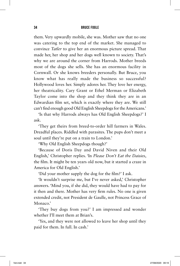them. Very upwardly mobile, she was. Mother saw that no one was catering to the top end of the market. She managed to convince *Tatler* to give her an enormous picture spread. That made her, her shop and her dogs well known to society. That's why we are around the corner from Harrods. Mother breeds most of the dogs she sells. She has an enormous facility in Cornwall. Or she knows breeders personally. But Bruce, you know what has really made the business so successful? Hollywood loves her. Simply adores her. They love her energy, her theatricality. Cary Grant or Ethel Merman or Elizabeth Taylor come into the shop and they think they are in an Edwardian film set, which is exactly where they are. We still can't find enough good Old English Sheepdogs for the Americans.'

'Is that why Harrods always has Old English Sheepdogs?' I ask.

'They get theirs from breed-to-order hill farmers in Wales. Dreadful places. Riddled with parasites. The pups don't meet a soul until they're put on a train to London.'

'Why Old English Sheepdogs though?'

'Because of Doris Day and David Niven and their Old English,' Christopher replies. 'In *Please Don't Eat the Daisies*, the film. It might be ten years old now, but it started a craze in America for Old English.'

'Did your mother supply the dog for the film?' I ask.

'It wouldn't surprise me, but I've never asked,' Christopher answers. 'Mind you, if she did, they would have had to pay for it then and there. Mother has very firm rules. No one is given extended credit, not President de Gaulle, not Princess Grace of Monaco.'

'They buy dogs from you?' I am impressed and wonder whether I'll meet them at Brian's.

'Yes, and they were not allowed to leave her shop until they paid for them. In full. In cash.'